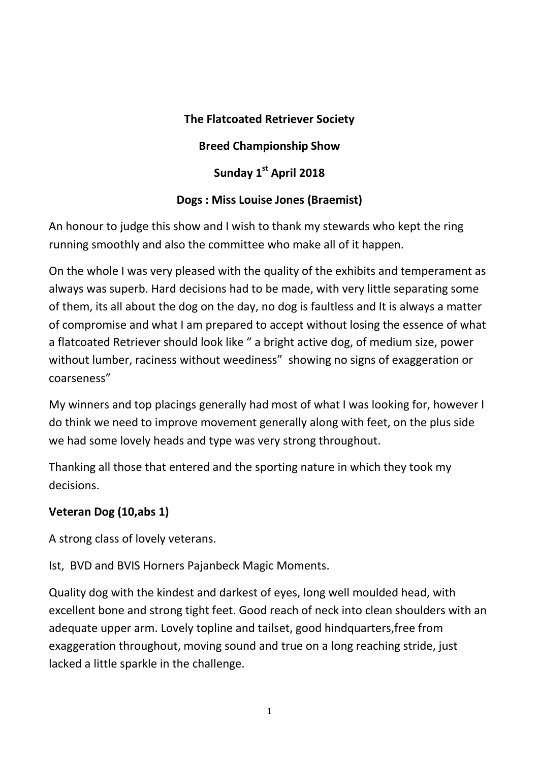#### **The Flatcoated Retriever Society**

#### **Breed Championship Show**

## Sunday 1<sup>st</sup> April 2018

#### **Dogs : Miss Louise Jones (Braemist)**

An honour to judge this show and I wish to thank my stewards who kept the ring running smoothly and also the committee who make all of it happen.

On the whole I was very pleased with the quality of the exhibits and temperament as always was superb. Hard decisions had to be made, with very little separating some of them, its all about the dog on the day, no dog is faultless and It is always a matter of compromise and what I am prepared to accept without losing the essence of what a flatcoated Retriever should look like " a bright active dog, of medium size, power without lumber, raciness without weediness" showing no signs of exaggeration or coarseness"

My winners and top placings generally had most of what I was looking for, however I do think we need to improve movement generally along with feet, on the plus side we had some lovely heads and type was very strong throughout.

Thanking all those that entered and the sporting nature in which they took my decisions.

#### **Veteran Dog (10,abs 1)**

A strong class of lovely veterans.

Ist, BVD and BVIS Horners Pajanbeck Magic Moments.

Quality dog with the kindest and darkest of eyes, long well moulded head, with excellent bone and strong tight feet. Good reach of neck into clean shoulders with an adequate upper arm. Lovely topline and tailset, good hindquarters,free from exaggeration throughout, moving sound and true on a long reaching stride, just lacked a little sparkle in the challenge.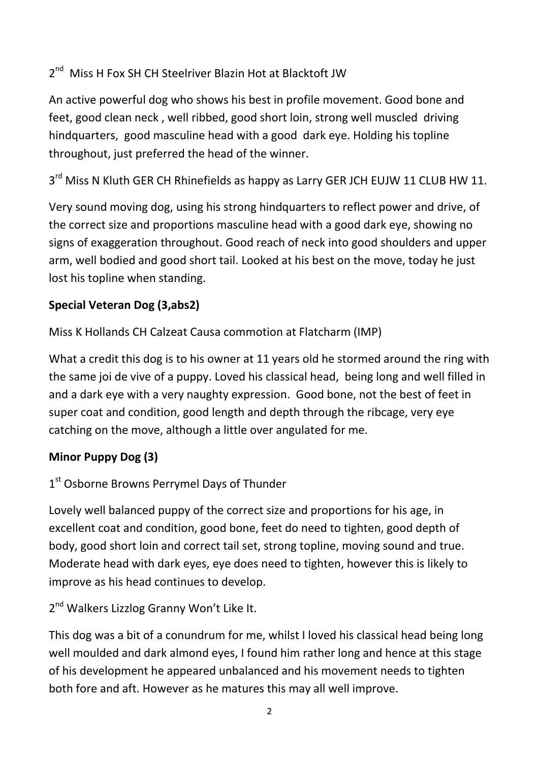2<sup>nd</sup> Miss H Fox SH CH Steelriver Blazin Hot at Blacktoft JW

An active powerful dog who shows his best in profile movement. Good bone and feet, good clean neck , well ribbed, good short loin, strong well muscled driving hindquarters, good masculine head with a good dark eye. Holding his topline throughout, just preferred the head of the winner.

 $3<sup>rd</sup>$  Miss N Kluth GER CH Rhinefields as happy as Larry GER JCH EUJW 11 CLUB HW 11.

Very sound moving dog, using his strong hindquarters to reflect power and drive, of the correct size and proportions masculine head with a good dark eye, showing no signs of exaggeration throughout. Good reach of neck into good shoulders and upper arm, well bodied and good short tail. Looked at his best on the move, today he just lost his topline when standing.

#### **Special Veteran Dog (3,abs2)**

Miss K Hollands CH Calzeat Causa commotion at Flatcharm (IMP)

What a credit this dog is to his owner at 11 years old he stormed around the ring with the same joi de vive of a puppy. Loved his classical head, being long and well filled in and a dark eye with a very naughty expression. Good bone, not the best of feet in super coat and condition, good length and depth through the ribcage, very eye catching on the move, although a little over angulated for me.

#### **Minor Puppy Dog (3)**

#### 1<sup>st</sup> Osborne Browns Perrymel Days of Thunder

Lovely well balanced puppy of the correct size and proportions for his age, in excellent coat and condition, good bone, feet do need to tighten, good depth of body, good short loin and correct tail set, strong topline, moving sound and true. Moderate head with dark eyes, eye does need to tighten, however this is likely to improve as his head continues to develop.

2<sup>nd</sup> Walkers Lizzlog Granny Won't Like It.

This dog was a bit of a conundrum for me, whilst I loved his classical head being long well moulded and dark almond eyes, I found him rather long and hence at this stage of his development he appeared unbalanced and his movement needs to tighten both fore and aft. However as he matures this may all well improve.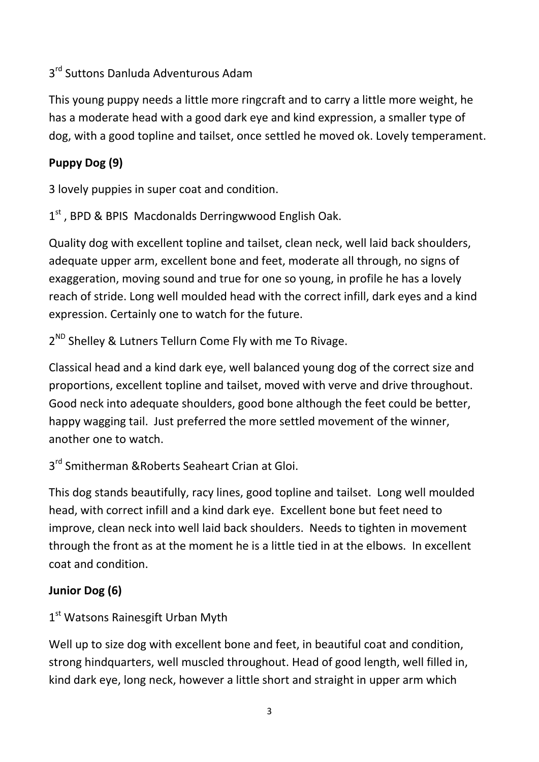3<sup>rd</sup> Suttons Danluda Adventurous Adam

This young puppy needs a little more ringcraft and to carry a little more weight, he has a moderate head with a good dark eye and kind expression, a smaller type of dog, with a good topline and tailset, once settled he moved ok. Lovely temperament.

## **Puppy Dog (9)**

3 lovely puppies in super coat and condition.

1<sup>st</sup>, BPD & BPIS Macdonalds Derringwwood English Oak.

Quality dog with excellent topline and tailset, clean neck, well laid back shoulders, adequate upper arm, excellent bone and feet, moderate all through, no signs of exaggeration, moving sound and true for one so young, in profile he has a lovely reach of stride. Long well moulded head with the correct infill, dark eyes and a kind expression. Certainly one to watch for the future.

2<sup>ND</sup> Shelley & Lutners Tellurn Come Fly with me To Rivage.

Classical head and a kind dark eye, well balanced young dog of the correct size and proportions, excellent topline and tailset, moved with verve and drive throughout. Good neck into adequate shoulders, good bone although the feet could be better, happy wagging tail. Just preferred the more settled movement of the winner, another one to watch.

3<sup>rd</sup> Smitherman &Roberts Seaheart Crian at Gloi.

This dog stands beautifully, racy lines, good topline and tailset. Long well moulded head, with correct infill and a kind dark eye. Excellent bone but feet need to improve, clean neck into well laid back shoulders. Needs to tighten in movement through the front as at the moment he is a little tied in at the elbows. In excellent coat and condition.

## **Junior Dog (6)**

1<sup>st</sup> Watsons Rainesgift Urban Myth

Well up to size dog with excellent bone and feet, in beautiful coat and condition, strong hindquarters, well muscled throughout. Head of good length, well filled in, kind dark eye, long neck, however a little short and straight in upper arm which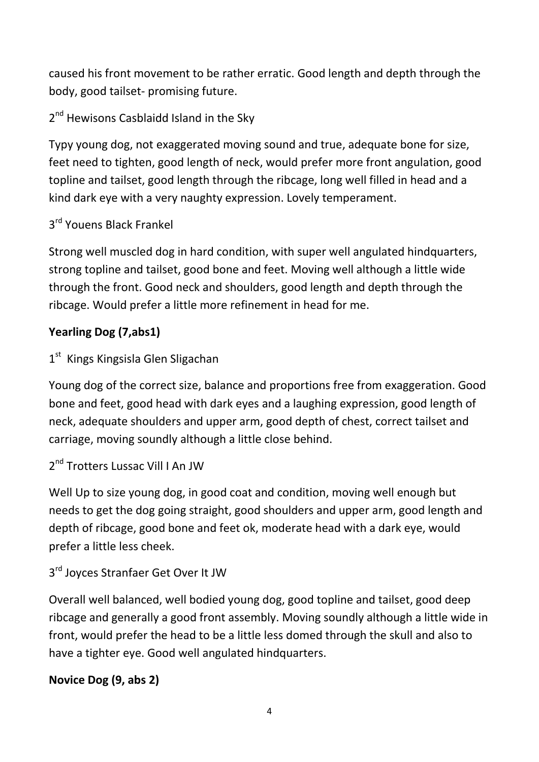caused his front movement to be rather erratic. Good length and depth through the body, good tailset- promising future.

# 2<sup>nd</sup> Hewisons Casblaidd Island in the Sky

Typy young dog, not exaggerated moving sound and true, adequate bone for size, feet need to tighten, good length of neck, would prefer more front angulation, good topline and tailset, good length through the ribcage, long well filled in head and a kind dark eye with a very naughty expression. Lovely temperament.

#### 3<sup>rd</sup> Youens Black Frankel

Strong well muscled dog in hard condition, with super well angulated hindquarters, strong topline and tailset, good bone and feet. Moving well although a little wide through the front. Good neck and shoulders, good length and depth through the ribcage. Would prefer a little more refinement in head for me.

### **Yearling Dog (7,abs1)**

1<sup>st</sup> Kings Kingsisla Glen Sligachan

Young dog of the correct size, balance and proportions free from exaggeration. Good bone and feet, good head with dark eyes and a laughing expression, good length of neck, adequate shoulders and upper arm, good depth of chest, correct tailset and carriage, moving soundly although a little close behind.

# 2<sup>nd</sup> Trotters Lussac Vill I An JW

Well Up to size young dog, in good coat and condition, moving well enough but needs to get the dog going straight, good shoulders and upper arm, good length and depth of ribcage, good bone and feet ok, moderate head with a dark eye, would prefer a little less cheek.

## 3<sup>rd</sup> Joyces Stranfaer Get Over It JW

Overall well balanced, well bodied young dog, good topline and tailset, good deep ribcage and generally a good front assembly. Moving soundly although a little wide in front, would prefer the head to be a little less domed through the skull and also to have a tighter eye. Good well angulated hindquarters.

#### **Novice Dog (9, abs 2)**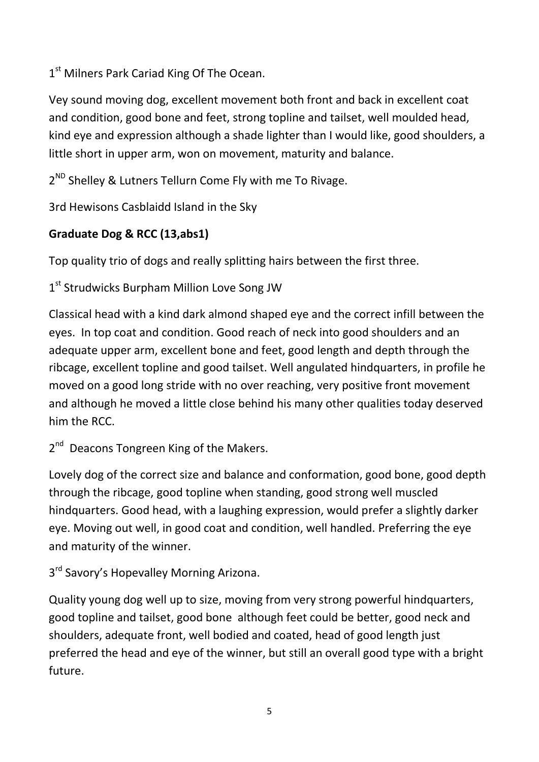1<sup>st</sup> Milners Park Cariad King Of The Ocean.

Vey sound moving dog, excellent movement both front and back in excellent coat and condition, good bone and feet, strong topline and tailset, well moulded head, kind eye and expression although a shade lighter than I would like, good shoulders, a little short in upper arm, won on movement, maturity and balance.

2<sup>ND</sup> Shelley & Lutners Tellurn Come Fly with me To Rivage.

3rd Hewisons Casblaidd Island in the Sky

## **Graduate Dog & RCC (13,abs1)**

Top quality trio of dogs and really splitting hairs between the first three.

1<sup>st</sup> Strudwicks Burpham Million Love Song JW

Classical head with a kind dark almond shaped eye and the correct infill between the eyes. In top coat and condition. Good reach of neck into good shoulders and an adequate upper arm, excellent bone and feet, good length and depth through the ribcage, excellent topline and good tailset. Well angulated hindquarters, in profile he moved on a good long stride with no over reaching, very positive front movement and although he moved a little close behind his many other qualities today deserved him the RCC.

2<sup>nd</sup> Deacons Tongreen King of the Makers.

Lovely dog of the correct size and balance and conformation, good bone, good depth through the ribcage, good topline when standing, good strong well muscled hindquarters. Good head, with a laughing expression, would prefer a slightly darker eye. Moving out well, in good coat and condition, well handled. Preferring the eye and maturity of the winner.

3<sup>rd</sup> Savory's Hopevalley Morning Arizona.

Quality young dog well up to size, moving from very strong powerful hindquarters, good topline and tailset, good bone although feet could be better, good neck and shoulders, adequate front, well bodied and coated, head of good length just preferred the head and eye of the winner, but still an overall good type with a bright future.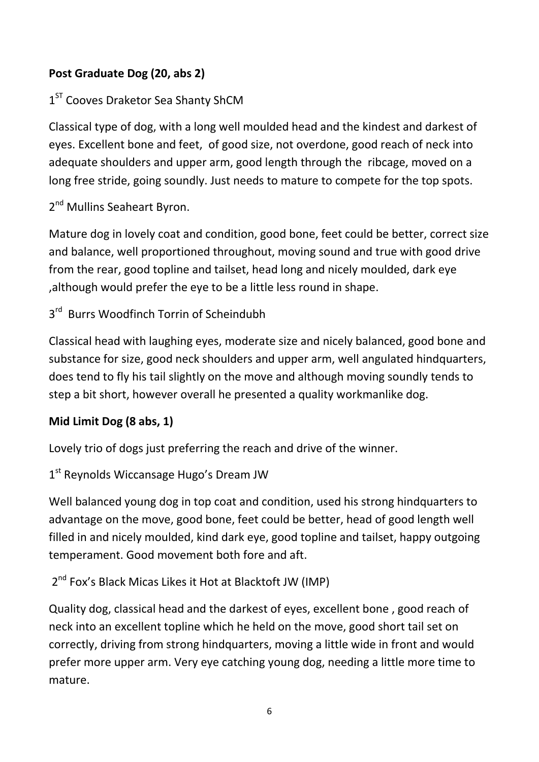### **Post Graduate Dog (20, abs 2)**

## 1<sup>ST</sup> Cooves Draketor Sea Shanty ShCM

Classical type of dog, with a long well moulded head and the kindest and darkest of eyes. Excellent bone and feet, of good size, not overdone, good reach of neck into adequate shoulders and upper arm, good length through the ribcage, moved on a long free stride, going soundly. Just needs to mature to compete for the top spots.

2<sup>nd</sup> Mullins Seaheart Byron.

Mature dog in lovely coat and condition, good bone, feet could be better, correct size and balance, well proportioned throughout, moving sound and true with good drive from the rear, good topline and tailset, head long and nicely moulded, dark eye ,although would prefer the eye to be a little less round in shape.

 $3<sup>rd</sup>$  Burrs Woodfinch Torrin of Scheindubh

Classical head with laughing eyes, moderate size and nicely balanced, good bone and substance for size, good neck shoulders and upper arm, well angulated hindquarters, does tend to fly his tail slightly on the move and although moving soundly tends to step a bit short, however overall he presented a quality workmanlike dog.

#### **Mid Limit Dog (8 abs, 1)**

Lovely trio of dogs just preferring the reach and drive of the winner.

1<sup>st</sup> Reynolds Wiccansage Hugo's Dream JW

Well balanced young dog in top coat and condition, used his strong hindquarters to advantage on the move, good bone, feet could be better, head of good length well filled in and nicely moulded, kind dark eye, good topline and tailset, happy outgoing temperament. Good movement both fore and aft.

2<sup>nd</sup> Fox's Black Micas Likes it Hot at Blacktoft JW (IMP)

Quality dog, classical head and the darkest of eyes, excellent bone , good reach of neck into an excellent topline which he held on the move, good short tail set on correctly, driving from strong hindquarters, moving a little wide in front and would prefer more upper arm. Very eye catching young dog, needing a little more time to mature.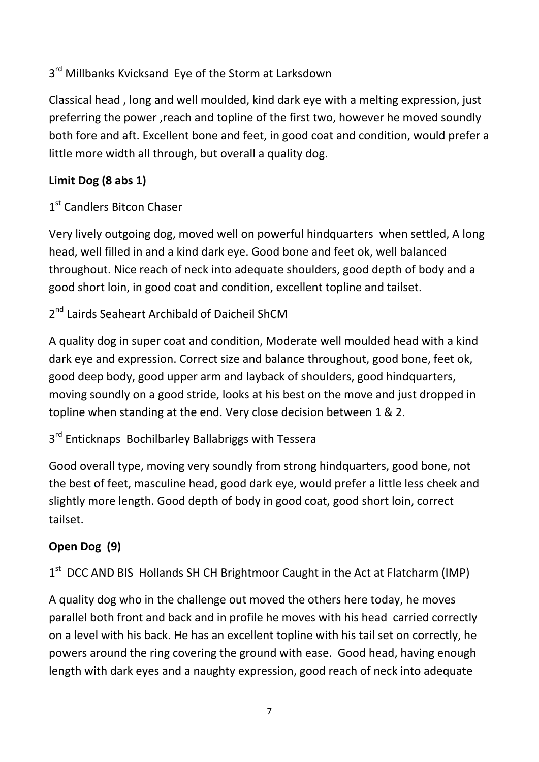## $3<sup>rd</sup>$  Millbanks Kvicksand Eye of the Storm at Larksdown

Classical head , long and well moulded, kind dark eye with a melting expression, just preferring the power, reach and topline of the first two, however he moved soundly both fore and aft. Excellent bone and feet, in good coat and condition, would prefer a little more width all through, but overall a quality dog.

## **Limit Dog (8 abs 1)**

#### 1<sup>st</sup> Candlers Bitcon Chaser

Very lively outgoing dog, moved well on powerful hindquarters when settled, A long head, well filled in and a kind dark eye. Good bone and feet ok, well balanced throughout. Nice reach of neck into adequate shoulders, good depth of body and a good short loin, in good coat and condition, excellent topline and tailset.

2<sup>nd</sup> Lairds Seaheart Archibald of Daicheil ShCM

A quality dog in super coat and condition, Moderate well moulded head with a kind dark eye and expression. Correct size and balance throughout, good bone, feet ok, good deep body, good upper arm and layback of shoulders, good hindquarters, moving soundly on a good stride, looks at his best on the move and just dropped in topline when standing at the end. Very close decision between 1 & 2.

3<sup>rd</sup> Enticknaps Bochilbarley Ballabriggs with Tessera

Good overall type, moving very soundly from strong hindquarters, good bone, not the best of feet, masculine head, good dark eye, would prefer a little less cheek and slightly more length. Good depth of body in good coat, good short loin, correct tailset.

## **Open Dog (9)**

1<sup>st</sup> DCC AND BIS Hollands SH CH Brightmoor Caught in the Act at Flatcharm (IMP)

A quality dog who in the challenge out moved the others here today, he moves parallel both front and back and in profile he moves with his head carried correctly on a level with his back. He has an excellent topline with his tail set on correctly, he powers around the ring covering the ground with ease. Good head, having enough length with dark eyes and a naughty expression, good reach of neck into adequate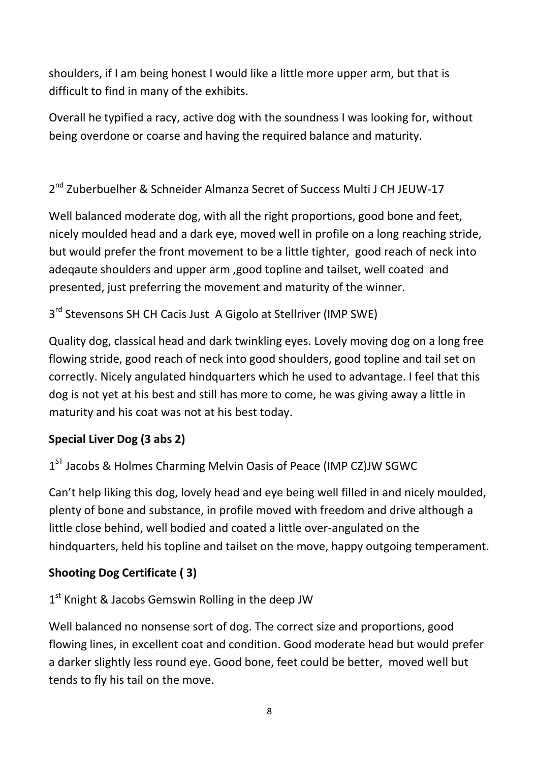shoulders, if I am being honest I would like a little more upper arm, but that is difficult to find in many of the exhibits.

Overall he typified a racy, active dog with the soundness I was looking for, without being overdone or coarse and having the required balance and maturity.

2<sup>nd</sup> Zuberbuelher & Schneider Almanza Secret of Success Multi J CH JEUW-17

Well balanced moderate dog, with all the right proportions, good bone and feet, nicely moulded head and a dark eye, moved well in profile on a long reaching stride, but would prefer the front movement to be a little tighter, good reach of neck into adeqaute shoulders and upper arm ,good topline and tailset, well coated and presented, just preferring the movement and maturity of the winner.

3<sup>rd</sup> Stevensons SH CH Cacis Just A Gigolo at Stellriver (IMP SWE)

Quality dog, classical head and dark twinkling eyes. Lovely moving dog on a long free flowing stride, good reach of neck into good shoulders, good topline and tail set on correctly. Nicely angulated hindquarters which he used to advantage. I feel that this dog is not yet at his best and still has more to come, he was giving away a little in maturity and his coat was not at his best today.

## **Special Liver Dog (3 abs 2)**

 $1<sup>ST</sup>$  Jacobs & Holmes Charming Melvin Oasis of Peace (IMP CZ)JW SGWC

Can't help liking this dog, lovely head and eye being well filled in and nicely moulded, plenty of bone and substance, in profile moved with freedom and drive although a little close behind, well bodied and coated a little over-angulated on the hindquarters, held his topline and tailset on the move, happy outgoing temperament.

## **Shooting Dog Certificate ( 3)**

 $1<sup>st</sup>$  Knight & Jacobs Gemswin Rolling in the deep JW

Well balanced no nonsense sort of dog. The correct size and proportions, good flowing lines, in excellent coat and condition. Good moderate head but would prefer a darker slightly less round eye. Good bone, feet could be better, moved well but tends to fly his tail on the move.